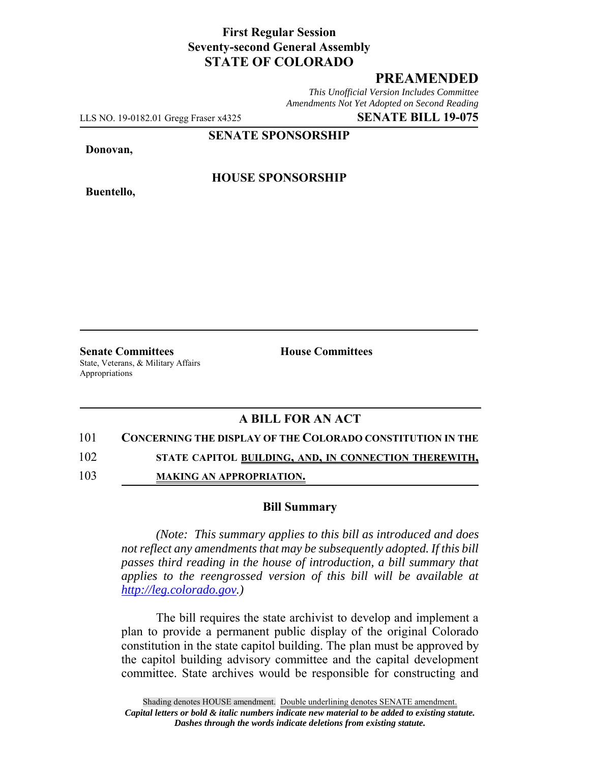## **First Regular Session Seventy-second General Assembly STATE OF COLORADO**

# **PREAMENDED**

*This Unofficial Version Includes Committee Amendments Not Yet Adopted on Second Reading*

LLS NO. 19-0182.01 Gregg Fraser x4325 **SENATE BILL 19-075**

**SENATE SPONSORSHIP**

**Donovan,**

**Buentello,**

### **HOUSE SPONSORSHIP**

**Senate Committees House Committees** State, Veterans, & Military Affairs Appropriations

## **A BILL FOR AN ACT**

#### 101 **CONCERNING THE DISPLAY OF THE COLORADO CONSTITUTION IN THE**

102 **STATE CAPITOL BUILDING, AND, IN CONNECTION THEREWITH,**

103 **MAKING AN APPROPRIATION.**

#### **Bill Summary**

*(Note: This summary applies to this bill as introduced and does not reflect any amendments that may be subsequently adopted. If this bill passes third reading in the house of introduction, a bill summary that applies to the reengrossed version of this bill will be available at http://leg.colorado.gov.)*

The bill requires the state archivist to develop and implement a plan to provide a permanent public display of the original Colorado constitution in the state capitol building. The plan must be approved by the capitol building advisory committee and the capital development committee. State archives would be responsible for constructing and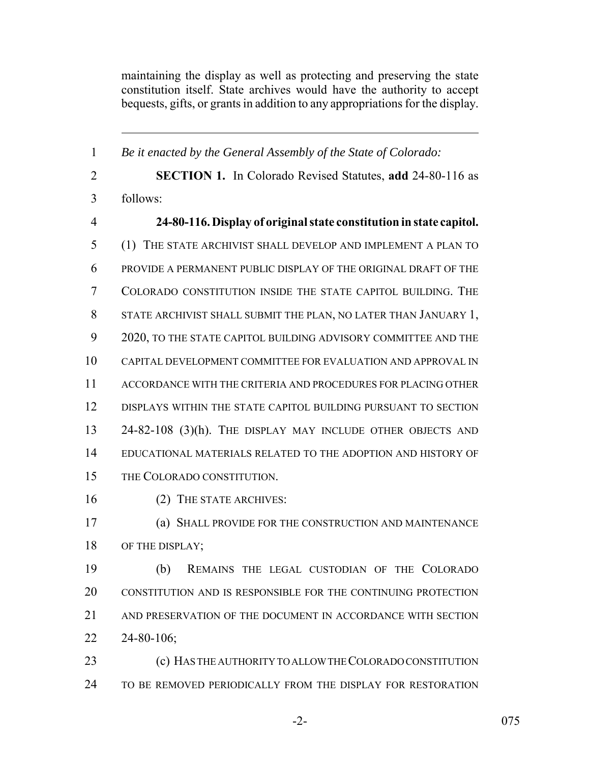maintaining the display as well as protecting and preserving the state constitution itself. State archives would have the authority to accept bequests, gifts, or grants in addition to any appropriations for the display.

 *Be it enacted by the General Assembly of the State of Colorado:* **SECTION 1.** In Colorado Revised Statutes, **add** 24-80-116 as follows: **24-80-116. Display of original state constitution in state capitol.** (1) THE STATE ARCHIVIST SHALL DEVELOP AND IMPLEMENT A PLAN TO PROVIDE A PERMANENT PUBLIC DISPLAY OF THE ORIGINAL DRAFT OF THE COLORADO CONSTITUTION INSIDE THE STATE CAPITOL BUILDING. THE STATE ARCHIVIST SHALL SUBMIT THE PLAN, NO LATER THAN JANUARY 1, 2020, TO THE STATE CAPITOL BUILDING ADVISORY COMMITTEE AND THE CAPITAL DEVELOPMENT COMMITTEE FOR EVALUATION AND APPROVAL IN ACCORDANCE WITH THE CRITERIA AND PROCEDURES FOR PLACING OTHER DISPLAYS WITHIN THE STATE CAPITOL BUILDING PURSUANT TO SECTION 24-82-108 (3)(h). THE DISPLAY MAY INCLUDE OTHER OBJECTS AND EDUCATIONAL MATERIALS RELATED TO THE ADOPTION AND HISTORY OF THE COLORADO CONSTITUTION. (2) THE STATE ARCHIVES: (a) SHALL PROVIDE FOR THE CONSTRUCTION AND MAINTENANCE 18 OF THE DISPLAY; (b) REMAINS THE LEGAL CUSTODIAN OF THE COLORADO CONSTITUTION AND IS RESPONSIBLE FOR THE CONTINUING PROTECTION AND PRESERVATION OF THE DOCUMENT IN ACCORDANCE WITH SECTION 24-80-106; (c) HAS THE AUTHORITY TO ALLOW THE COLORADO CONSTITUTION

TO BE REMOVED PERIODICALLY FROM THE DISPLAY FOR RESTORATION